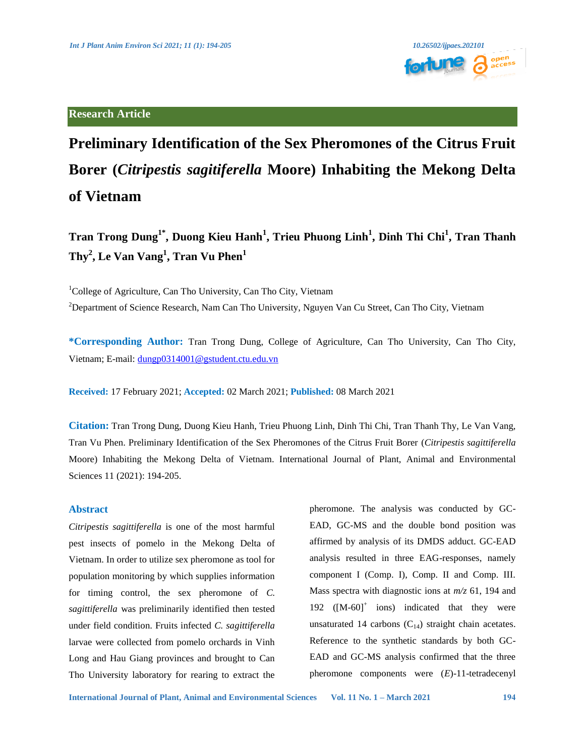**Research Article**



# **Preliminary Identification of the Sex Pheromones of the Citrus Fruit Borer (***Citripestis sagitiferella* **Moore) Inhabiting the Mekong Delta of Vietnam**

## $\text{Tran Trong Dung}^{1*}, \text{Duong Kieu Hanh}^{1}, \text{Trieu Phuong Linh}^{1}, \text{Dinh Thi Chi}^{1}, \text{Tran Thanh}^{1}$ **Thy<sup>2</sup> , Le Van Vang<sup>1</sup> , Tran Vu Phen<sup>1</sup>**

<sup>1</sup>College of Agriculture, Can Tho University, Can Tho City, Vietnam

<sup>2</sup>Department of Science Research, Nam Can Tho University, Nguyen Van Cu Street, Can Tho City, Vietnam

**\*Corresponding Author:** Tran Trong Dung, College of Agriculture, Can Tho University, Can Tho City, Vietnam; E-mail: [dungp0314001@gstudent.ctu.edu.vn](mailto:dungp0314001@gstudent.ctu.edu.vn)

**Received:** 17 February 2021; **Accepted:** 02 March 2021; **Published:** 08 March 2021

**Citation:** Tran Trong Dung, Duong Kieu Hanh, Trieu Phuong Linh, Dinh Thi Chi, Tran Thanh Thy, Le Van Vang, Tran Vu Phen. Preliminary Identification of the Sex Pheromones of the Citrus Fruit Borer (*Citripestis sagittiferella*  Moore) Inhabiting the Mekong Delta of Vietnam. International Journal of Plant, Animal and Environmental Sciences 11 (2021): 194-205.

### **Abstract**

*Citripestis sagittiferella* is one of the most harmful pest insects of pomelo in the Mekong Delta of Vietnam. In order to utilize sex pheromone as tool for population monitoring by which supplies information for timing control, the sex pheromone of *C. sagittiferella* was preliminarily identified then tested under field condition. Fruits infected *C. sagittiferella* larvae were collected from pomelo orchards in Vinh Long and Hau Giang provinces and brought to Can Tho University laboratory for rearing to extract the

pheromone. The analysis was conducted by GC-EAD, GC-MS and the double bond position was affirmed by analysis of its DMDS adduct. GC-EAD analysis resulted in three EAG-responses, namely component I (Comp. I), Comp. II and Comp. III. Mass spectra with diagnostic ions at *m/z* 61, 194 and 192  $([M-60]^+$  ions) indicated that they were unsaturated 14 carbons  $(C_{14})$  straight chain acetates. Reference to the synthetic standards by both GC-EAD and GC-MS analysis confirmed that the three pheromone components were (*E*)-11-tetradecenyl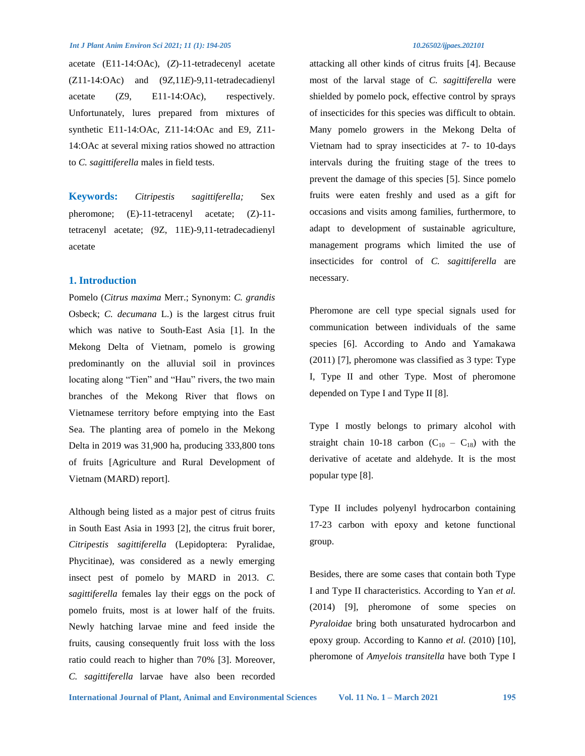acetate (E11-14:OAc), (*Z*)-11-tetradecenyl acetate (Z11-14:OAc) and (9*Z*,11*E*)-9,11-tetradecadienyl acetate (Z9, E11-14:OAc), respectively. Unfortunately, lures prepared from mixtures of synthetic E11-14:OAc, Z11-14:OAc and E9, Z11- 14:OAc at several mixing ratios showed no attraction to *C. sagittiferella* males in field tests.

**Keywords:** *Citripestis sagittiferella;* Sex pheromone; (E)-11-tetracenyl acetate; (Z)-11 tetracenyl acetate; (9Z, 11E)-9,11-tetradecadienyl acetate

#### **1. Introduction**

Pomelo (*Citrus maxima* Merr.; Synonym: *C. grandis*  Osbeck; *C. decumana* L.) is the largest citrus fruit which was native to South-East Asia [1]. In the Mekong Delta of Vietnam, pomelo is growing predominantly on the alluvial soil in provinces locating along "Tien" and "Hau" rivers, the two main branches of the Mekong River that flows on Vietnamese territory before emptying into the East Sea. The planting area of pomelo in the Mekong Delta in 2019 was 31,900 ha, producing 333,800 tons of fruits [Agriculture and Rural Development of Vietnam (MARD) report].

Although being listed as a major pest of citrus fruits in South East Asia in 1993 [2], the citrus fruit borer, *Citripestis sagittiferella* (Lepidoptera: Pyralidae, Phycitinae), was considered as a newly emerging insect pest of pomelo by MARD in 2013. *C. sagittiferella* females lay their eggs on the pock of pomelo fruits, most is at lower half of the fruits. Newly hatching larvae mine and feed inside the fruits, causing consequently fruit loss with the loss ratio could reach to higher than 70% [3]. Moreover, *C. sagittiferella* larvae have also been recorded attacking all other kinds of citrus fruits [4]. Because most of the larval stage of *C. sagittiferella* were shielded by pomelo pock, effective control by sprays of insecticides for this species was difficult to obtain. Many pomelo growers in the Mekong Delta of Vietnam had to spray insecticides at 7- to 10-days intervals during the fruiting stage of the trees to prevent the damage of this species [5]. Since pomelo fruits were eaten freshly and used as a gift for occasions and visits among families, furthermore, to adapt to development of sustainable agriculture, management programs which limited the use of insecticides for control of *C. sagittiferella* are necessary.

Pheromone are cell type special signals used for communication between individuals of the same species [6]. According to Ando and Yamakawa (2011) [7], pheromone was classified as 3 type: Type I, Type II and other Type. Most of pheromone depended on Type I and Type II [8].

Type I mostly belongs to primary alcohol with straight chain 10-18 carbon  $(C_{10} - C_{18})$  with the derivative of acetate and aldehyde. It is the most popular type [8].

Type II includes polyenyl hydrocarbon containing 17-23 carbon with epoxy and ketone functional group.

Besides, there are some cases that contain both Type I and Type II characteristics. According to Yan *et al.*  (2014) [9], pheromone of some species on *Pyraloidae* bring both unsaturated hydrocarbon and epoxy group. According to Kanno *et al.* (2010) [10], pheromone of *Amyelois transitella* have both Type I

**International Journal of Plant, Animal and Environmental Sciences Vol. 11 No. 1 – March 2021 195**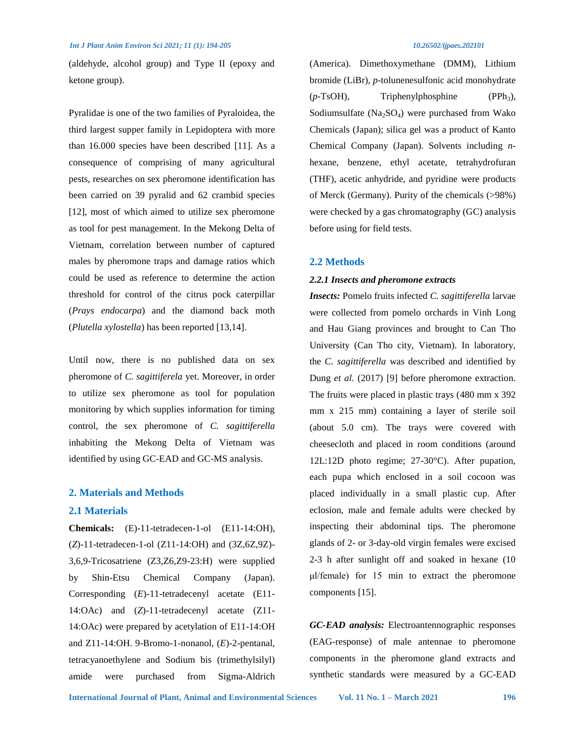(aldehyde, alcohol group) and Type II (epoxy and ketone group).

Pyralidae is one of the two families of Pyraloidea, the third largest supper family in Lepidoptera with more than 16.000 species have been described [11]. As a consequence of comprising of many agricultural pests, researches on sex pheromone identification has been carried on 39 pyralid and 62 crambid species [12], most of which aimed to utilize sex pheromone as tool for pest management. In the Mekong Delta of Vietnam, correlation between number of captured males by pheromone traps and damage ratios which could be used as reference to determine the action threshold for control of the citrus pock caterpillar (*Prays endocarpa*) and the diamond back moth (*Plutella xylostella*) has been reported [13,14].

Until now, there is no published data on sex pheromone of *C. sagittiferela* yet. Moreover, in order to utilize sex pheromone as tool for population monitoring by which supplies information for timing control, the sex pheromone of *C. sagittiferella* inhabiting the Mekong Delta of Vietnam was identified by using GC-EAD and GC-MS analysis.

### **2. Materials and Methods**

#### **2.1 Materials**

**Chemicals:** (E)-11-tetradecen-1-ol (E11-14:OH), (*Z*)-11-tetradecen-1-ol (Z11-14:OH) and (3Z,6Z,9Z)- 3,6,9-Tricosatriene (Z3,Z6,Z9-23:H) were supplied by Shin-Etsu Chemical Company (Japan). Corresponding (*E*)-11-tetradecenyl acetate (E11- 14:OAc) and (*Z*)-11-tetradecenyl acetate (Z11- 14:OAc) were prepared by acetylation of E11-14:OH and Z11-14:OH. 9-Bromo-1-nonanol, (*E*)-2-pentanal, tetracyanoethylene and Sodium bis (trimethylsilyl) amide were purchased from Sigma-Aldrich (America). Dimethoxymethane (DMM), Lithium bromide (LiBr), *p*-tolunenesulfonic acid monohydrate (*p*-TsOH), Triphenylphosphine (PPh<sub>3</sub>), Sodiumsulfate  $(Na_2SO_4)$  were purchased from Wako Chemicals (Japan); silica gel was a product of Kanto Chemical Company (Japan). Solvents including *n*hexane, benzene, ethyl acetate, tetrahydrofuran (THF), acetic anhydride, and pyridine were products of Merck (Germany). Purity of the chemicals (>98%) were checked by a gas chromatography (GC) analysis before using for field tests.

#### **2.2 Methods**

#### *2.2.1 Insects and pheromone extracts*

*Insects:* Pomelo fruits infected *C. sagittiferella* larvae were collected from pomelo orchards in Vinh Long and Hau Giang provinces and brought to Can Tho University (Can Tho city, Vietnam). In laboratory, the *C. sagittiferella* was described and identified by Dung *et al.* (2017) [9] before pheromone extraction. The fruits were placed in plastic trays (480 mm x 392 mm x 215 mm) containing a layer of sterile soil (about 5.0 cm). The trays were covered with cheesecloth and placed in room conditions (around 12L:12D photo regime; 27-30°C). After pupation, each pupa which enclosed in a soil cocoon was placed individually in a small plastic cup. After eclosion, male and female adults were checked by inspecting their abdominal tips. The pheromone glands of 2- or 3-day-old virgin females were excised 2-3 h after sunlight off and soaked in hexane (10 μl/female) for 15 min to extract the pheromone components [15].

*GC-EAD analysis:* Electroantennographic responses (EAG-response) of male antennae to pheromone components in the pheromone gland extracts and synthetic standards were measured by a GC-EAD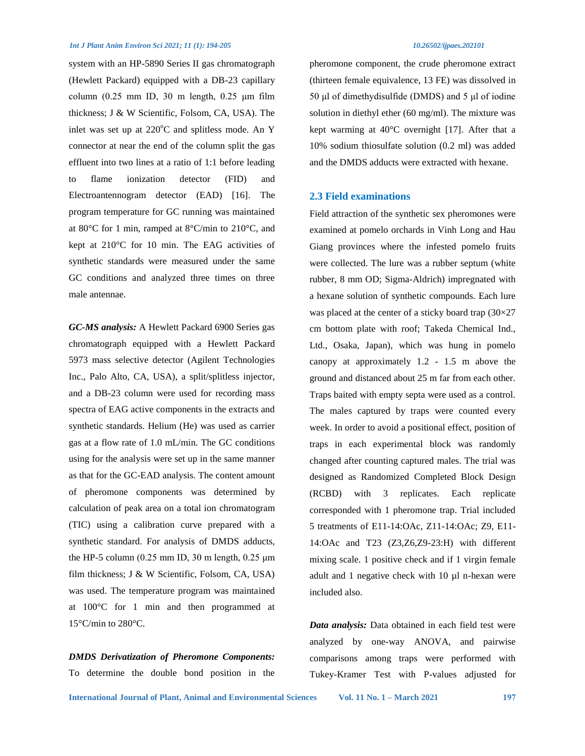system with an HP-5890 Series II gas chromatograph (Hewlett Packard) equipped with a DB-23 capillary column  $(0.25 \text{ mm} \text{ ID}, 30 \text{ m} \text{ length}, 0.25 \text{ \mu m} \text{ film})$ thickness; J & W Scientific, Folsom, CA, USA). The inlet was set up at  $220^{\circ}$ C and splitless mode. An Y connector at near the end of the column split the gas effluent into two lines at a ratio of 1:1 before leading to flame ionization detector (FID) and Electroantennogram detector (EAD) [16]. The program temperature for GC running was maintained at 80°C for 1 min, ramped at 8°C/min to 210°C, and kept at 210°C for 10 min. The EAG activities of synthetic standards were measured under the same GC conditions and analyzed three times on three male antennae.

*GC-MS analysis:* A Hewlett Packard 6900 Series gas chromatograph equipped with a Hewlett Packard 5973 mass selective detector (Agilent Technologies Inc., Palo Alto, CA, USA), a split/splitless injector, and a DB-23 column were used for recording mass spectra of EAG active components in the extracts and synthetic standards. Helium (He) was used as carrier gas at a flow rate of 1.0 mL/min. The GC conditions using for the analysis were set up in the same manner as that for the GC-EAD analysis. The content amount of pheromone components was determined by calculation of peak area on a total ion chromatogram (TIC) using a calibration curve prepared with a synthetic standard. For analysis of DMDS adducts, the HP-5 column (0.25 mm ID, 30 m length, 0.25 μm film thickness; J & W Scientific, Folsom, CA, USA) was used. The temperature program was maintained at 100°C for 1 min and then programmed at 15°C/min to 280°C.

### *DMDS Derivatization of Pheromone Components:*

To determine the double bond position in the

pheromone component, the crude pheromone extract (thirteen female equivalence, 13 FE) was dissolved in 50 μl of dimethydisulfide (DMDS) and 5 μl of iodine solution in diethyl ether (60 mg/ml). The mixture was kept warming at 40°C overnight [17]. After that a 10% sodium thiosulfate solution (0.2 ml) was added and the DMDS adducts were extracted with hexane.

#### **2.3 Field examinations**

Field attraction of the synthetic sex pheromones were examined at pomelo orchards in Vinh Long and Hau Giang provinces where the infested pomelo fruits were collected. The lure was a rubber septum (white rubber, 8 mm OD; Sigma-Aldrich) impregnated with a hexane solution of synthetic compounds. Each lure was placed at the center of a sticky board trap (30×27 cm bottom plate with roof; Takeda Chemical Ind., Ltd., Osaka, Japan), which was hung in pomelo canopy at approximately 1.2 - 1.5 m above the ground and distanced about 25 m far from each other. Traps baited with empty septa were used as a control. The males captured by traps were counted every week. In order to avoid a positional effect, position of traps in each experimental block was randomly changed after counting captured males. The trial was designed as Randomized Completed Block Design (RCBD) with 3 replicates. Each replicate corresponded with 1 pheromone trap. Trial included 5 treatments of E11-14:OAc, Z11-14:OAc; Z9, E11- 14:OAc and T23 (Z3,Z6,Z9-23:H) with different mixing scale. 1 positive check and if 1 virgin female adult and 1 negative check with 10 µl n-hexan were included also.

*Data analysis:* Data obtained in each field test were analyzed by one-way ANOVA, and pairwise comparisons among traps were performed with Tukey-Kramer Test with P-values adjusted for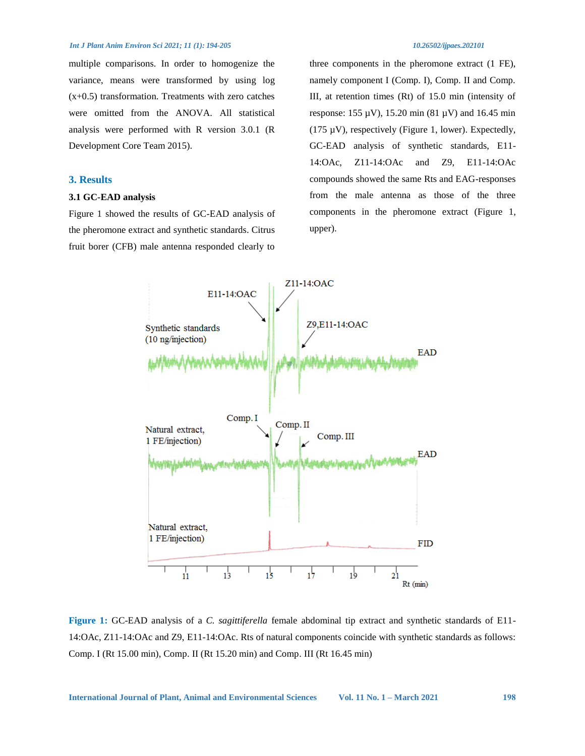multiple comparisons. In order to homogenize the variance, means were transformed by using log  $(x+0.5)$  transformation. Treatments with zero catches were omitted from the ANOVA. All statistical analysis were performed with R version 3.0.1 (R Development Core Team 2015).

### **3. Results**

#### **3.1 GC-EAD analysis**

Figure 1 showed the results of GC-EAD analysis of the pheromone extract and synthetic standards. Citrus fruit borer (CFB) male antenna responded clearly to

three components in the pheromone extract (1 FE), namely component I (Comp. I), Comp. II and Comp. III, at retention times (Rt) of 15.0 min (intensity of response:  $155 \mu V$ ),  $15.20 \text{ min} (81 \mu V)$  and  $16.45 \text{ min}$ (175  $\mu$ V), respectively (Figure 1, lower). Expectedly, GC-EAD analysis of synthetic standards, E11- 14:OAc, Z11-14:OAc and Z9, E11-14:OAc compounds showed the same Rts and EAG-responses from the male antenna as those of the three components in the pheromone extract (Figure 1, upper).



**Figure 1:** GC-EAD analysis of a *C. sagittiferella* female abdominal tip extract and synthetic standards of E11- 14:OAc, Z11-14:OAc and Z9, E11-14:OAc. Rts of natural components coincide with synthetic standards as follows: Comp. I (Rt 15.00 min), Comp. II (Rt 15.20 min) and Comp. III (Rt 16.45 min)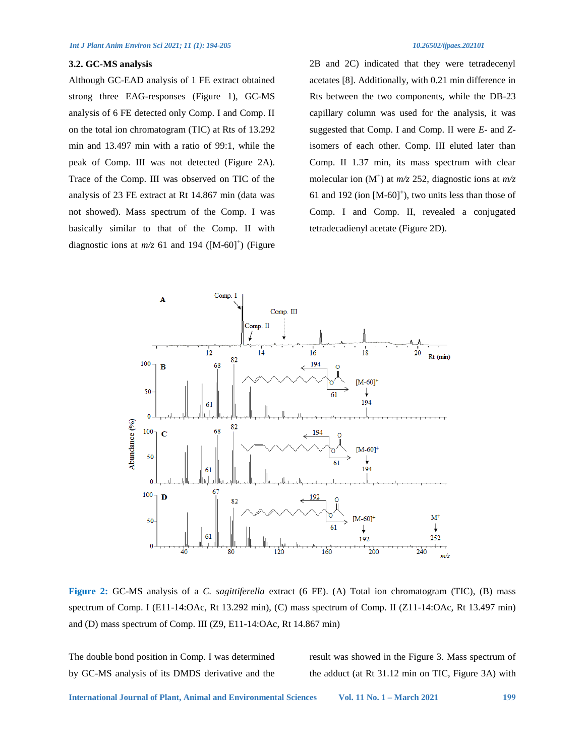#### **3.2. GC-MS analysis**

Although GC-EAD analysis of 1 FE extract obtained strong three EAG-responses (Figure 1), GC-MS analysis of 6 FE detected only Comp. I and Comp. II on the total ion chromatogram (TIC) at Rts of 13.292 min and 13.497 min with a ratio of 99:1, while the peak of Comp. III was not detected (Figure 2A). Trace of the Comp. III was observed on TIC of the analysis of 23 FE extract at Rt 14.867 min (data was not showed). Mass spectrum of the Comp. I was basically similar to that of the Comp. II with diagnostic ions at  $m/z$  61 and 194 ( $[M-60]^+$ ) (Figure 2B and 2C) indicated that they were tetradecenyl acetates [8]. Additionally, with 0.21 min difference in Rts between the two components, while the DB-23 capillary column was used for the analysis, it was suggested that Comp. I and Comp. II were *E-* and *Z*isomers of each other. Comp. III eluted later than Comp. II 1.37 min, its mass spectrum with clear molecular ion  $(M^+)$  at  $m/z$  252, diagnostic ions at  $m/z$ 61 and 192 (ion  $[M-60]^+$ ), two units less than those of Comp. I and Comp. II, revealed a conjugated tetradecadienyl acetate (Figure 2D).



**Figure 2:** GC-MS analysis of a *C. sagittiferella* extract (6 FE). (A) Total ion chromatogram (TIC), (B) mass spectrum of Comp. I (E11-14:OAc, Rt 13.292 min), (C) mass spectrum of Comp. II (Z11-14:OAc, Rt 13.497 min) and (D) mass spectrum of Comp. III (Z9, E11-14:OAc, Rt 14.867 min)

The double bond position in Comp. I was determined by GC-MS analysis of its DMDS derivative and the result was showed in the Figure 3. Mass spectrum of the adduct (at Rt 31.12 min on TIC, Figure 3A) with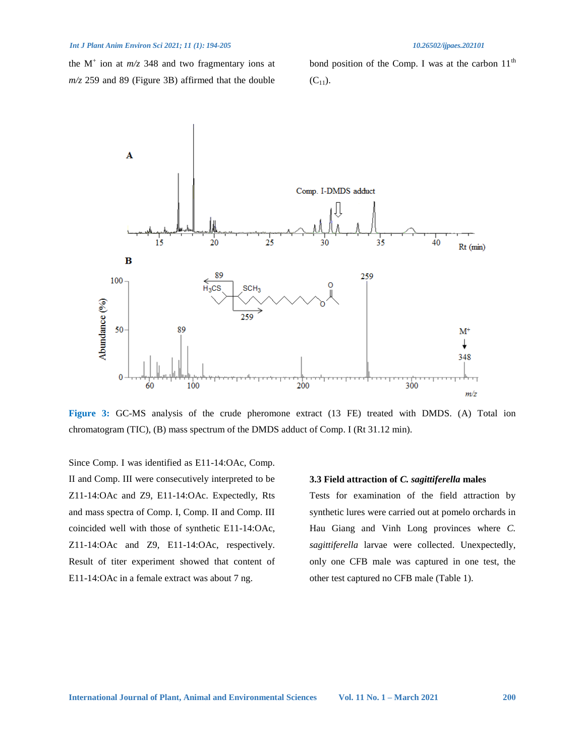the  $M^+$  ion at  $m/z$  348 and two fragmentary ions at *m/z* 259 and 89 (Figure 3B) affirmed that the double

bond position of the Comp. I was at the carbon  $11<sup>th</sup>$  $(C_{11})$ .



**Figure 3:** GC-MS analysis of the crude pheromone extract (13 FE) treated with DMDS. (A) Total ion chromatogram (TIC), (B) mass spectrum of the DMDS adduct of Comp. I (Rt 31.12 min).

Since Comp. I was identified as E11-14:OAc, Comp. II and Comp. III were consecutively interpreted to be Z11-14:OAc and Z9, E11-14:OAc. Expectedly, Rts and mass spectra of Comp. I, Comp. II and Comp. III coincided well with those of synthetic E11-14:OAc, Z11-14:OAc and Z9, E11-14:OAc, respectively. Result of titer experiment showed that content of E11-14:OAc in a female extract was about 7 ng.

#### **3.3 Field attraction of** *C. sagittiferella* **males**

Tests for examination of the field attraction by synthetic lures were carried out at pomelo orchards in Hau Giang and Vinh Long provinces where *C. sagittiferella* larvae were collected. Unexpectedly, only one CFB male was captured in one test, the other test captured no CFB male (Table 1).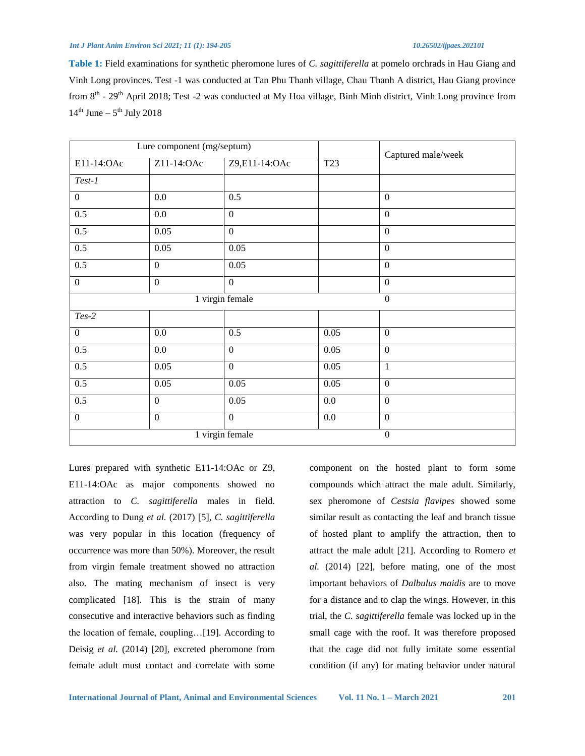**Table 1:** Field examinations for synthetic pheromone lures of *C. sagittiferella* at pomelo orchrads in Hau Giang and Vinh Long provinces. Test -1 was conducted at Tan Phu Thanh village, Chau Thanh A district, Hau Giang province from 8<sup>th</sup> - 29<sup>th</sup> April 2018; Test -2 was conducted at My Hoa village, Binh Minh district, Vinh Long province from  $14<sup>th</sup>$  June –  $5<sup>th</sup>$  July 2018

| Lure component (mg/septum)   |                  |                  |         | Captured male/week |
|------------------------------|------------------|------------------|---------|--------------------|
| E11-14:OAc                   | Z11-14:OAc       | Z9,E11-14:OAc    | T23     |                    |
| $Test-1$                     |                  |                  |         |                    |
| $\mathbf{0}$                 | 0.0              | 0.5              |         | $\boldsymbol{0}$   |
| 0.5                          | 0.0              | $\mathbf{0}$     |         | $\boldsymbol{0}$   |
| 0.5                          | 0.05             | $\boldsymbol{0}$ |         | $\mathbf{0}$       |
| 0.5                          | 0.05             | 0.05             |         | $\boldsymbol{0}$   |
| 0.5                          | $\mathbf{0}$     | 0.05             |         | $\mathbf{0}$       |
| $\boldsymbol{0}$             | $\boldsymbol{0}$ | $\boldsymbol{0}$ |         | $\boldsymbol{0}$   |
| 1 virgin female              |                  |                  |         | $\boldsymbol{0}$   |
| $Tes-2$                      |                  |                  |         |                    |
| $\mathbf{0}$                 | $0.0\,$          | 0.5              | 0.05    | $\boldsymbol{0}$   |
| 0.5                          | $0.0\,$          | $\boldsymbol{0}$ | 0.05    | $\boldsymbol{0}$   |
| 0.5                          | 0.05             | $\boldsymbol{0}$ | 0.05    | 1                  |
| 0.5                          | 0.05             | $0.05\,$         | 0.05    | $\boldsymbol{0}$   |
| 0.5                          | $\boldsymbol{0}$ | 0.05             | $0.0\,$ | $\boldsymbol{0}$   |
| $\mathbf{0}$                 | $\mathbf{0}$     | $\mathbf{0}$     | $0.0\,$ | $\overline{0}$     |
| $\overline{1}$ virgin female |                  |                  |         | $\boldsymbol{0}$   |

Lures prepared with synthetic E11-14:OAc or Z9, E11-14:OAc as major components showed no attraction to *C. sagittiferella* males in field. According to Dung *et al.* (2017) [5], *C. sagittiferella*  was very popular in this location (frequency of occurrence was more than 50%). Moreover, the result from virgin female treatment showed no attraction also. The mating mechanism of insect is very complicated [18]. This is the strain of many consecutive and interactive behaviors such as finding the location of female, coupling…[19]. According to Deisig *et al.* (2014) [20], excreted pheromone from female adult must contact and correlate with some

component on the hosted plant to form some compounds which attract the male adult. Similarly, sex pheromone of *Cestsia flavipes* showed some similar result as contacting the leaf and branch tissue of hosted plant to amplify the attraction, then to attract the male adult [21]. According to Romero *et al.* (2014) [22], before mating, one of the most important behaviors of *Dalbulus maidis* are to move for a distance and to clap the wings. However, in this trial, the *C. sagittiferella* female was locked up in the small cage with the roof. It was therefore proposed that the cage did not fully imitate some essential condition (if any) for mating behavior under natural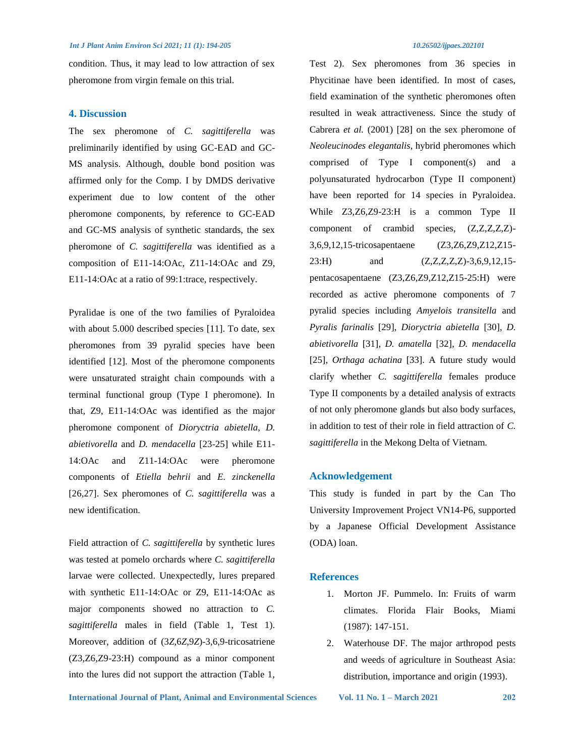condition. Thus, it may lead to low attraction of sex pheromone from virgin female on this trial.

#### **4. Discussion**

The sex pheromone of *C. sagittiferella* was preliminarily identified by using GC-EAD and GC-MS analysis. Although, double bond position was affirmed only for the Comp. I by DMDS derivative experiment due to low content of the other pheromone components, by reference to GC-EAD and GC-MS analysis of synthetic standards, the sex pheromone of *C. sagittiferella* was identified as a composition of E11-14:OAc, Z11-14:OAc and Z9, E11-14:OAc at a ratio of 99:1:trace, respectively.

Pyralidae is one of the two families of Pyraloidea with about 5.000 described species [11]. To date, sex pheromones from 39 pyralid species have been identified [12]. Most of the pheromone components were unsaturated straight chain compounds with a terminal functional group (Type I pheromone). In that, Z9, E11-14:OAc was identified as the major pheromone component of *Dioryctria abietella*, *D. abietivorella* and *D. mendacella* [23-25] while E11- 14:OAc and Z11-14:OAc were pheromone components of *Etiella behrii* and *E. zinckenella* [26,27]. Sex pheromones of *C. sagittiferella* was a new identification.

Field attraction of *C. sagittiferella* by synthetic lures was tested at pomelo orchards where *C. sagittiferella* larvae were collected. Unexpectedly, lures prepared with synthetic E11-14:OAc or Z9, E11-14:OAc as major components showed no attraction to *C. sagittiferella* males in field (Table 1, Test 1). Moreover, addition of (3*Z*,6*Z*,9*Z*)-3,6,9-tricosatriene (Z3,Z6,Z9-23:H) compound as a minor component into the lures did not support the attraction (Table 1, Test 2). Sex pheromones from 36 species in Phycitinae have been identified. In most of cases, field examination of the synthetic pheromones often resulted in weak attractiveness. Since the study of Cabrera *et al.* (2001) [28] on the sex pheromone of *Neoleucinodes elegantalis*, hybrid pheromones which comprised of Type I component(s) and a polyunsaturated hydrocarbon (Type II component) have been reported for 14 species in Pyraloidea. While Z3,Z6,Z9-23:H is a common Type II component of crambid species, (Z,Z,Z,Z,Z)- 3,6,9,12,15-tricosapentaene (Z3,Z6,Z9,Z12,Z15- 23:H) and  $(Z, Z, Z, Z, Z, Z)$ -3,6,9,12,15pentacosapentaene (Z3,Z6,Z9,Z12,Z15-25:H) were recorded as active pheromone components of 7 pyralid species including *Amyelois transitella* and *Pyralis farinalis* [29], *Dioryctria abietella* [30], *D. abietivorella* [31], *D. amatella* [32], *D. mendacella* [25], *Orthaga achatina* [33]. A future study would clarify whether *C. sagittiferella* females produce Type II components by a detailed analysis of extracts of not only pheromone glands but also body surfaces, in addition to test of their role in field attraction of *C. sagittiferella* in the Mekong Delta of Vietnam.

### **Acknowledgement**

This study is funded in part by the Can Tho University Improvement Project VN14-P6, supported by a Japanese Official Development Assistance (ODA) loan.

#### **References**

- 1. Morton JF. Pummelo. In: Fruits of warm climates. Florida Flair Books, Miami (1987): 147-151.
- 2. Waterhouse DF. The major arthropod pests and weeds of agriculture in Southeast Asia: distribution, importance and origin (1993).

**International Journal of Plant, Animal and Environmental Sciences Vol. 11 No. 1 – March 2021 202**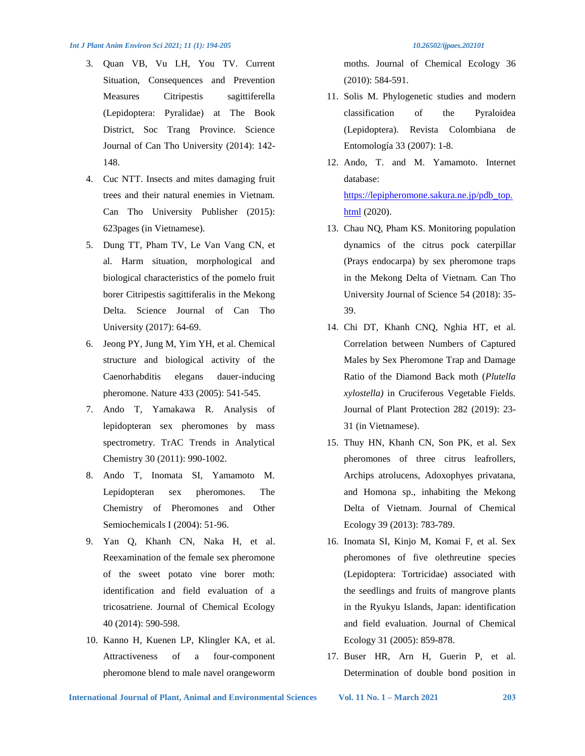- 3. Quan VB, Vu LH, You TV. Current Situation, Consequences and Prevention Measures Citripestis sagittiferella (Lepidoptera: Pyralidae) at The Book District, Soc Trang Province. Science Journal of Can Tho University (2014): 142- 148.
- 4. Cuc NTT. Insects and mites damaging fruit trees and their natural enemies in Vietnam. Can Tho University Publisher (2015): 623pages (in Vietnamese).
- 5. Dung TT, Pham TV, Le Van Vang CN, et al. Harm situation, morphological and biological characteristics of the pomelo fruit borer Citripestis sagittiferalis in the Mekong Delta. Science Journal of Can Tho University (2017): 64-69.
- 6. Jeong PY, Jung M, Yim YH, et al. Chemical structure and biological activity of the Caenorhabditis elegans dauer-inducing pheromone. Nature 433 (2005): 541-545.
- 7. Ando T, Yamakawa R. Analysis of lepidopteran sex pheromones by mass spectrometry. TrAC Trends in Analytical Chemistry 30 (2011): 990-1002.
- 8. Ando T, Inomata SI, Yamamoto M. Lepidopteran sex pheromones. The Chemistry of Pheromones and Other Semiochemicals I (2004): 51-96.
- 9. Yan Q, Khanh CN, Naka H, et al. Reexamination of the female sex pheromone of the sweet potato vine borer moth: identification and field evaluation of a tricosatriene. Journal of Chemical Ecology 40 (2014): 590-598.
- 10. Kanno H, Kuenen LP, Klingler KA, et al. Attractiveness of a four-component pheromone blend to male navel orangeworm

moths. Journal of Chemical Ecology 36 (2010): 584-591.

- 11. Solis M. Phylogenetic studies and modern classification of the Pyraloidea (Lepidoptera). Revista Colombiana de Entomología 33 (2007): 1-8.
- 12. Ando, T. and M. Yamamoto. Internet database: [https://lepipheromone.sakura.ne.jp/pdb\\_top.](https://lepipheromone.sakura.ne.jp/pdb_top.html)

[html](https://lepipheromone.sakura.ne.jp/pdb_top.html) (2020).

- 13. Chau NQ, Pham KS. Monitoring population dynamics of the citrus pock caterpillar (Prays endocarpa) by sex pheromone traps in the Mekong Delta of Vietnam. Can Tho University Journal of Science 54 (2018): 35- 39.
- 14. Chi DT, Khanh CNQ, Nghia HT, et al. Correlation between Numbers of Captured Males by Sex Pheromone Trap and Damage Ratio of the Diamond Back moth (*Plutella xylostella)* in Cruciferous Vegetable Fields. Journal of Plant Protection 282 (2019): 23- 31 (in Vietnamese).
- 15. Thuy HN, Khanh CN, Son PK, et al. Sex pheromones of three citrus leafrollers, Archips atrolucens, Adoxophyes privatana, and Homona sp., inhabiting the Mekong Delta of Vietnam. Journal of Chemical Ecology 39 (2013): 783-789.
- 16. Inomata SI, Kinjo M, Komai F, et al. Sex pheromones of five olethreutine species (Lepidoptera: Tortricidae) associated with the seedlings and fruits of mangrove plants in the Ryukyu Islands, Japan: identification and field evaluation. Journal of Chemical Ecology 31 (2005): 859-878.
- 17. Buser HR, Arn H, Guerin P, et al. Determination of double bond position in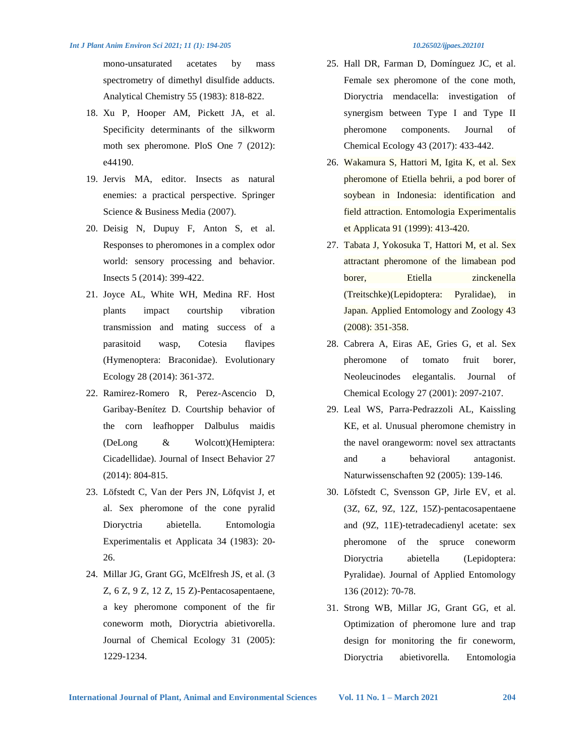mono-unsaturated acetates by mass spectrometry of dimethyl disulfide adducts. Analytical Chemistry 55 (1983): 818-822.

- 18. Xu P, Hooper AM, Pickett JA, et al. Specificity determinants of the silkworm moth sex pheromone. PloS One 7 (2012): e44190.
- 19. Jervis MA, editor. Insects as natural enemies: a practical perspective. Springer Science & Business Media (2007).
- 20. Deisig N, Dupuy F, Anton S, et al. Responses to pheromones in a complex odor world: sensory processing and behavior. Insects 5 (2014): 399-422.
- 21. Joyce AL, White WH, Medina RF. Host plants impact courtship vibration transmission and mating success of a parasitoid wasp, Cotesia flavipes (Hymenoptera: Braconidae). Evolutionary Ecology 28 (2014): 361-372.
- 22. Ramirez-Romero R, Perez-Ascencio D, Garibay-Benítez D. Courtship behavior of the corn leafhopper Dalbulus maidis (DeLong & Wolcott)(Hemiptera: Cicadellidae). Journal of Insect Behavior 27 (2014): 804-815.
- 23. Löfstedt C, Van der Pers JN, Löfqvist J, et al. Sex pheromone of the cone pyralid Dioryctria abietella. Entomologia Experimentalis et Applicata 34 (1983): 20- 26.
- 24. Millar JG, Grant GG, McElfresh JS, et al. (3 Z, 6 Z, 9 Z, 12 Z, 15 Z)-Pentacosapentaene, a key pheromone component of the fir coneworm moth, Dioryctria abietivorella. Journal of Chemical Ecology 31 (2005): 1229-1234.
- 25. Hall DR, Farman D, Domínguez JC, et al. Female sex pheromone of the cone moth, Dioryctria mendacella: investigation of synergism between Type I and Type II pheromone components. Journal of Chemical Ecology 43 (2017): 433-442.
- 26. Wakamura S, Hattori M, Igita K, et al. Sex pheromone of Etiella behrii, a pod borer of soybean in Indonesia: identification and field attraction. Entomologia Experimentalis et Applicata 91 (1999): 413-420.
- 27. Tabata J, Yokosuka T, Hattori M, et al. Sex attractant pheromone of the limabean pod borer, Etiella zinckenella (Treitschke)(Lepidoptera: Pyralidae), in Japan. Applied Entomology and Zoology 43 (2008): 351-358.
- 28. Cabrera A, Eiras AE, Gries G, et al. Sex pheromone of tomato fruit borer, Neoleucinodes elegantalis. Journal of Chemical Ecology 27 (2001): 2097-2107.
- 29. Leal WS, Parra-Pedrazzoli AL, Kaissling KE, et al. Unusual pheromone chemistry in the navel orangeworm: novel sex attractants and a behavioral antagonist. Naturwissenschaften 92 (2005): 139-146.
- 30. Löfstedt C, Svensson GP, Jirle EV, et al. (3Z, 6Z, 9Z, 12Z, 15Z)‐pentacosapentaene and (9Z, 11E)‐tetradecadienyl acetate: sex pheromone of the spruce coneworm Dioryctria abietella (Lepidoptera: Pyralidae). Journal of Applied Entomology 136 (2012): 70-78.
- 31. Strong WB, Millar JG, Grant GG, et al. Optimization of pheromone lure and trap design for monitoring the fir coneworm, Dioryctria abietivorella. Entomologia